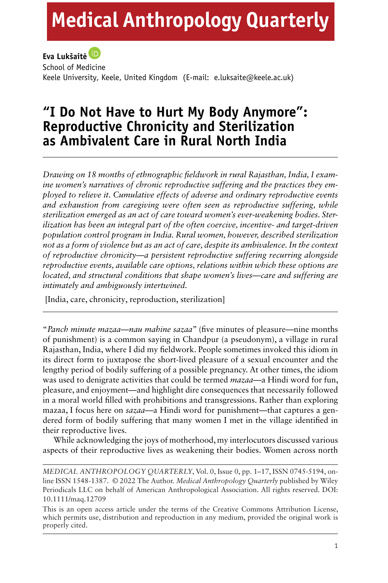# **Medical Anthropology Quarterly**

### **Eva Lukšaite˙**

School of Medicine Keele University, Keele, United Kingdom (E-mail: e.luksaite@keele.ac.uk)

## **"I Do Not Have to Hurt My Body Anymore": Reproductive Chronicity and Sterilization as Ambivalent Care in Rural North India**

*Drawing on 18 months of ethnographic fieldwork in rural Rajasthan, India, I examine women's narratives of chronic reproductive suffering and the practices they employed to relieve it. Cumulative effects of adverse and ordinary reproductive events and exhaustion from caregiving were often seen as reproductive suffering, while sterilization emerged as an act of care toward women's ever-weakening bodies. Sterilization has been an integral part of the often coercive, incentive- and target-driven population control program in India. Rural women, however, described sterilization not as a form of violence but as an act of care, despite its ambivalence. In the context of reproductive chronicity—a persistent reproductive suffering recurring alongside reproductive events, available care options, relations within which these options are located, and structural conditions that shape women's lives—care and suffering are intimately and ambiguously intertwined.*

[India, care, chronicity, reproduction, sterilization]

"*Panch minute mazaa—nau mahine sazaa*" (five minutes of pleasure—nine months of punishment) is a common saying in Chandpur (a pseudonym), a village in rural Rajasthan, India, where I did my fieldwork. People sometimes invoked this idiom in its direct form to juxtapose the short-lived pleasure of a sexual encounter and the lengthy period of bodily suffering of a possible pregnancy. At other times, the idiom was used to denigrate activities that could be termed *mazaa*—a Hindi word for fun, pleasure, and enjoyment—and highlight dire consequences that necessarily followed in a moral world filled with prohibitions and transgressions. Rather than exploring mazaa, I focus here on *sazaa*—a Hindi word for punishment—that captures a gendered form of bodily suffering that many women I met in the village identified in their reproductive lives.

While acknowledging the joys of motherhood, my interlocutors discussed various aspects of their reproductive lives as weakening their bodies. Women across north

*MEDICAL ANTHROPOLOGY QUARTERLY*, Vol. 0, Issue 0, pp. 1–17, ISSN 0745-5194, online ISSN 1548-1387. © 2022 The Author. *Medical Anthropology Quarterly* published by Wiley Periodicals LLC on behalf of American Anthropological Association. All rights reserved. DOI: 10.1111/maq.12709

This is an open access article under the terms of the [Creative Commons Attribution](http://creativecommons.org/licenses/by/4.0/) License, which permits use, distribution and reproduction in any medium, provided the original work is properly cited.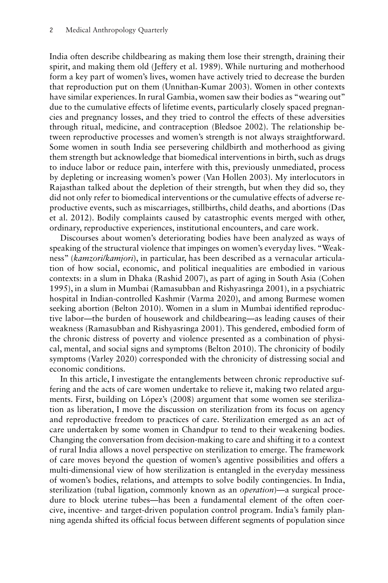India often describe childbearing as making them lose their strength, draining their spirit, and making them old (Jeffery et al. 1989). While nurturing and motherhood form a key part of women's lives, women have actively tried to decrease the burden that reproduction put on them (Unnithan-Kumar 2003). Women in other contexts have similar experiences. In rural Gambia, women saw their bodies as "wearing out" due to the cumulative effects of lifetime events, particularly closely spaced pregnancies and pregnancy losses, and they tried to control the effects of these adversities through ritual, medicine, and contraception (Bledsoe 2002). The relationship between reproductive processes and women's strength is not always straightforward. Some women in south India see persevering childbirth and motherhood as giving them strength but acknowledge that biomedical interventions in birth, such as drugs to induce labor or reduce pain, interfere with this, previously unmediated, process by depleting or increasing women's power (Van Hollen 2003). My interlocutors in Rajasthan talked about the depletion of their strength, but when they did so, they did not only refer to biomedical interventions or the cumulative effects of adverse reproductive events, such as miscarriages, stillbirths, child deaths, and abortions (Das et al. 2012). Bodily complaints caused by catastrophic events merged with other, ordinary, reproductive experiences, institutional encounters, and care work.

Discourses about women's deteriorating bodies have been analyzed as ways of speaking of the structural violence that impinges on women's everyday lives. "Weakness" (*kamzori/kamjori*), in particular, has been described as a vernacular articulation of how social, economic, and political inequalities are embodied in various contexts: in a slum in Dhaka (Rashid 2007), as part of aging in South Asia (Cohen 1995), in a slum in Mumbai (Ramasubban and Rishyasringa 2001), in a psychiatric hospital in Indian-controlled Kashmir (Varma 2020), and among Burmese women seeking abortion (Belton 2010). Women in a slum in Mumbai identified reproductive labor—the burden of housework and childbearing—as leading causes of their weakness (Ramasubban and Rishyasringa 2001). This gendered, embodied form of the chronic distress of poverty and violence presented as a combination of physical, mental, and social signs and symptoms (Belton 2010). The chronicity of bodily symptoms (Varley 2020) corresponded with the chronicity of distressing social and economic conditions.

In this article, I investigate the entanglements between chronic reproductive suffering and the acts of care women undertake to relieve it, making two related arguments. First, building on López's (2008) argument that some women see sterilization as liberation, I move the discussion on sterilization from its focus on agency and reproductive freedom to practices of care. Sterilization emerged as an act of care undertaken by some women in Chandpur to tend to their weakening bodies. Changing the conversation from decision-making to care and shifting it to a context of rural India allows a novel perspective on sterilization to emerge. The framework of care moves beyond the question of women's agentive possibilities and offers a multi-dimensional view of how sterilization is entangled in the everyday messiness of women's bodies, relations, and attempts to solve bodily contingencies. In India, sterilization (tubal ligation, commonly known as an *operation*)—a surgical procedure to block uterine tubes—has been a fundamental element of the often coercive, incentive- and target-driven population control program. India's family planning agenda shifted its official focus between different segments of population since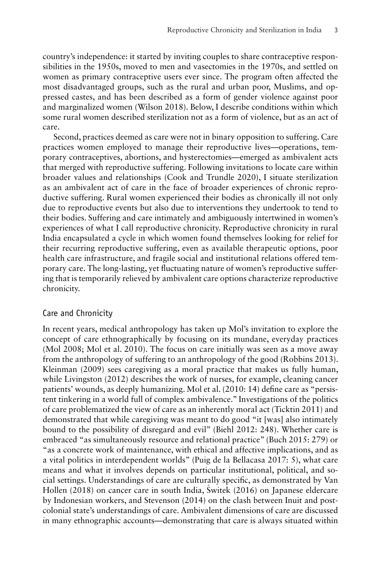country's independence: it started by inviting couples to share contraceptive responsibilities in the 1950s, moved to men and vasectomies in the 1970s, and settled on women as primary contraceptive users ever since. The program often affected the most disadvantaged groups, such as the rural and urban poor, Muslims, and oppressed castes, and has been described as a form of gender violence against poor and marginalized women (Wilson 2018). Below, I describe conditions within which some rural women described sterilization not as a form of violence, but as an act of care.

Second, practices deemed as care were not in binary opposition to suffering. Care practices women employed to manage their reproductive lives—operations, temporary contraceptives, abortions, and hysterectomies—emerged as ambivalent acts that merged with reproductive suffering. Following invitations to locate care within broader values and relationships (Cook and Trundle 2020), I situate sterilization as an ambivalent act of care in the face of broader experiences of chronic reproductive suffering. Rural women experienced their bodies as chronically ill not only due to reproductive events but also due to interventions they undertook to tend to their bodies. Suffering and care intimately and ambiguously intertwined in women's experiences of what I call reproductive chronicity. Reproductive chronicity in rural India encapsulated a cycle in which women found themselves looking for relief for their recurring reproductive suffering, even as available therapeutic options, poor health care infrastructure, and fragile social and institutional relations offered temporary care. The long-lasting, yet fluctuating nature of women's reproductive suffering that is temporarily relieved by ambivalent care options characterize reproductive chronicity.

#### Care and Chronicity

In recent years, medical anthropology has taken up Mol's invitation to explore the concept of care ethnographically by focusing on its mundane, everyday practices (Mol 2008; Mol et al. 2010). The focus on care initially was seen as a move away from the anthropology of suffering to an anthropology of the good (Robbins 2013). Kleinman (2009) sees caregiving as a moral practice that makes us fully human, while Livingston (2012) describes the work of nurses, for example, cleaning cancer patients' wounds, as deeply humanizing. Mol et al. (2010: 14) define care as "persistent tinkering in a world full of complex ambivalence." Investigations of the politics of care problematized the view of care as an inherently moral act (Ticktin 2011) and demonstrated that while caregiving was meant to do good "it [was] also intimately bound to the possibility of disregard and evil" (Biehl 2012: 248). Whether care is embraced "as simultaneously resource and relational practice" (Buch 2015: 279) or "as a concrete work of maintenance, with ethical and affective implications, and as a vital politics in interdependent worlds" (Puig de la Bellacasa 2017: 5), what care means and what it involves depends on particular institutional, political, and social settings. Understandings of care are culturally specific, as demonstrated by Van Hollen (2018) on cancer care in south India, Świtek (2016) on Japanese eldercare by Indonesian workers, and Stevenson (2014) on the clash between Inuit and postcolonial state's understandings of care. Ambivalent dimensions of care are discussed in many ethnographic accounts—demonstrating that care is always situated within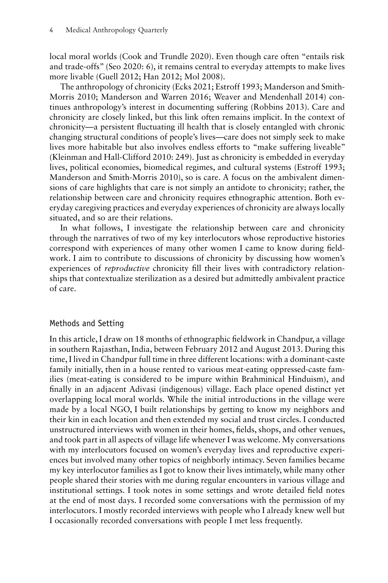local moral worlds (Cook and Trundle 2020). Even though care often "entails risk and trade-offs" (Seo 2020: 6), it remains central to everyday attempts to make lives more livable (Guell 2012; Han 2012; Mol 2008).

The anthropology of chronicity (Ecks 2021; Estroff 1993; Manderson and Smith-Morris 2010; Manderson and Warren 2016; Weaver and Mendenhall 2014) continues anthropology's interest in documenting suffering (Robbins 2013). Care and chronicity are closely linked, but this link often remains implicit. In the context of chronicity—a persistent fluctuating ill health that is closely entangled with chronic changing structural conditions of people's lives—care does not simply seek to make lives more habitable but also involves endless efforts to "make suffering liveable" (Kleinman and Hall-Clifford 2010: 249). Just as chronicity is embedded in everyday lives, political economies, biomedical regimes, and cultural systems (Estroff 1993; Manderson and Smith-Morris 2010), so is care. A focus on the ambivalent dimensions of care highlights that care is not simply an antidote to chronicity; rather, the relationship between care and chronicity requires ethnographic attention. Both everyday caregiving practices and everyday experiences of chronicity are always locally situated, and so are their relations.

In what follows, I investigate the relationship between care and chronicity through the narratives of two of my key interlocutors whose reproductive histories correspond with experiences of many other women I came to know during fieldwork. I aim to contribute to discussions of chronicity by discussing how women's experiences of *reproductive* chronicity fill their lives with contradictory relationships that contextualize sterilization as a desired but admittedly ambivalent practice of care.

#### Methods and Setting

In this article, I draw on 18 months of ethnographic fieldwork in Chandpur, a village in southern Rajasthan, India, between February 2012 and August 2013. During this time, I lived in Chandpur full time in three different locations: with a dominant-caste family initially, then in a house rented to various meat-eating oppressed-caste families (meat-eating is considered to be impure within Brahminical Hinduism), and finally in an adjacent Adivasi (indigenous) village. Each place opened distinct yet overlapping local moral worlds. While the initial introductions in the village were made by a local NGO, I built relationships by getting to know my neighbors and their kin in each location and then extended my social and trust circles. I conducted unstructured interviews with women in their homes, fields, shops, and other venues, and took part in all aspects of village life whenever I was welcome.My conversations with my interlocutors focused on women's everyday lives and reproductive experiences but involved many other topics of neighborly intimacy. Seven families became my key interlocutor families as I got to know their lives intimately, while many other people shared their stories with me during regular encounters in various village and institutional settings. I took notes in some settings and wrote detailed field notes at the end of most days. I recorded some conversations with the permission of my interlocutors. I mostly recorded interviews with people who I already knew well but I occasionally recorded conversations with people I met less frequently.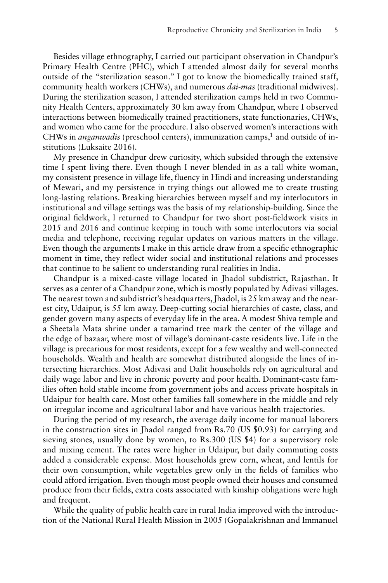Besides village ethnography, I carried out participant observation in Chandpur's Primary Health Centre (PHC), which I attended almost daily for several months outside of the "sterilization season." I got to know the biomedically trained staff, community health workers (CHWs), and numerous *dai-mas* (traditional midwives). During the sterilization season, I attended sterilization camps held in two Community Health Centers, approximately 30 km away from Chandpur, where I observed interactions between biomedically trained practitioners, state functionaries, CHWs, and women who came for the procedure. I also observed women's interactions with CHWs in *anganwadis* (preschool centers), immunization camps,<sup>1</sup> and outside of institutions (Luksaite 2016).

My presence in Chandpur drew curiosity, which subsided through the extensive time I spent living there. Even though I never blended in as a tall white woman, my consistent presence in village life, fluency in Hindi and increasing understanding of Mewari, and my persistence in trying things out allowed me to create trusting long-lasting relations. Breaking hierarchies between myself and my interlocutors in institutional and village settings was the basis of my relationship-building. Since the original fieldwork, I returned to Chandpur for two short post-fieldwork visits in 2015 and 2016 and continue keeping in touch with some interlocutors via social media and telephone, receiving regular updates on various matters in the village. Even though the arguments I make in this article draw from a specific ethnographic moment in time, they reflect wider social and institutional relations and processes that continue to be salient to understanding rural realities in India.

Chandpur is a mixed-caste village located in Jhadol subdistrict, Rajasthan. It serves as a center of a Chandpur zone, which is mostly populated by Adivasi villages. The nearest town and subdistrict's headquarters, Jhadol, is 25 km away and the nearest city, Udaipur, is 55 km away. Deep-cutting social hierarchies of caste, class, and gender govern many aspects of everyday life in the area. A modest Shiva temple and a Sheetala Mata shrine under a tamarind tree mark the center of the village and the edge of bazaar, where most of village's dominant-caste residents live. Life in the village is precarious for most residents, except for a few wealthy and well-connected households. Wealth and health are somewhat distributed alongside the lines of intersecting hierarchies. Most Adivasi and Dalit households rely on agricultural and daily wage labor and live in chronic poverty and poor health. Dominant-caste families often hold stable income from government jobs and access private hospitals in Udaipur for health care. Most other families fall somewhere in the middle and rely on irregular income and agricultural labor and have various health trajectories.

During the period of my research, the average daily income for manual laborers in the construction sites in Jhadol ranged from Rs.70 (US \$0.93) for carrying and sieving stones, usually done by women, to Rs.300 (US \$4) for a supervisory role and mixing cement. The rates were higher in Udaipur, but daily commuting costs added a considerable expense. Most households grew corn, wheat, and lentils for their own consumption, while vegetables grew only in the fields of families who could afford irrigation. Even though most people owned their houses and consumed produce from their fields, extra costs associated with kinship obligations were high and frequent.

While the quality of public health care in rural India improved with the introduction of the National Rural Health Mission in 2005 (Gopalakrishnan and Immanuel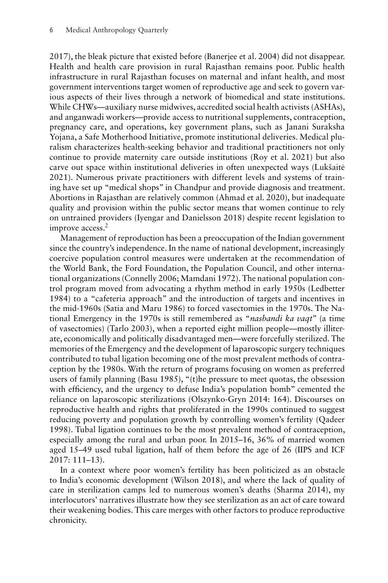2017), the bleak picture that existed before (Banerjee et al. 2004) did not disappear. Health and health care provision in rural Rajasthan remains poor. Public health infrastructure in rural Rajasthan focuses on maternal and infant health, and most government interventions target women of reproductive age and seek to govern various aspects of their lives through a network of biomedical and state institutions. While CHWs—auxiliary nurse midwives, accredited social health activists (ASHAs), and anganwadi workers—provide access to nutritional supplements, contraception, pregnancy care, and operations, key government plans, such as Janani Suraksha Yojana, a Safe Motherhood Initiative, promote institutional deliveries. Medical pluralism characterizes health-seeking behavior and traditional practitioners not only continue to provide maternity care outside institutions (Roy et al. 2021) but also carve out space within institutional deliveries in often unexpected ways (Lukšaitė 2021). Numerous private practitioners with different levels and systems of training have set up "medical shops" in Chandpur and provide diagnosis and treatment. Abortions in Rajasthan are relatively common (Ahmad et al. 2020), but inadequate quality and provision within the public sector means that women continue to rely on untrained providers (Iyengar and Danielsson 2018) despite recent legislation to improve access.<sup>2</sup>

Management of reproduction has been a preoccupation of the Indian government since the country's independence. In the name of national development, increasingly coercive population control measures were undertaken at the recommendation of the World Bank, the Ford Foundation, the Population Council, and other international organizations (Connelly 2006; Mamdani 1972). The national population control program moved from advocating a rhythm method in early 1950s (Ledbetter 1984) to a "cafeteria approach" and the introduction of targets and incentives in the mid-1960s (Satia and Maru 1986) to forced vasectomies in the 1970s. The National Emergency in the 1970s is still remembered as "*nasbandi ka vaqt*" (a time of vasectomies) (Tarlo 2003), when a reported eight million people—mostly illiterate, economically and politically disadvantaged men—were forcefully sterilized. The memories of the Emergency and the development of laparoscopic surgery techniques contributed to tubal ligation becoming one of the most prevalent methods of contraception by the 1980s. With the return of programs focusing on women as preferred users of family planning (Basu 1985), "(t)he pressure to meet quotas, the obsession with efficiency, and the urgency to defuse India's population bomb" cemented the reliance on laparoscopic sterilizations (Olszynko-Gryn 2014: 164). Discourses on reproductive health and rights that proliferated in the 1990s continued to suggest reducing poverty and population growth by controlling women's fertility (Qadeer 1998). Tubal ligation continues to be the most prevalent method of contraception, especially among the rural and urban poor. In 2015–16, 36% of married women aged 15–49 used tubal ligation, half of them before the age of 26 (IIPS and ICF 2017: 111–13).

In a context where poor women's fertility has been politicized as an obstacle to India's economic development (Wilson 2018), and where the lack of quality of care in sterilization camps led to numerous women's deaths (Sharma 2014), my interlocutors' narratives illustrate how they see sterilization as an act of care toward their weakening bodies. This care merges with other factors to produce reproductive chronicity.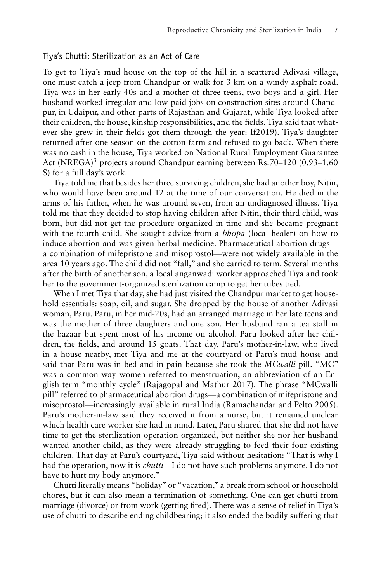#### Tiya's Chutti: Sterilization as an Act of Care

To get to Tiya's mud house on the top of the hill in a scattered Adivasi village, one must catch a jeep from Chandpur or walk for 3 km on a windy asphalt road. Tiya was in her early 40s and a mother of three teens, two boys and a girl. Her husband worked irregular and low-paid jobs on construction sites around Chandpur, in Udaipur, and other parts of Rajasthan and Gujarat, while Tiya looked after their children, the house, kinship responsibilities, and the fields. Tiya said that whatever she grew in their fields got them through the year: If2019). Tiya's daughter returned after one season on the cotton farm and refused to go back. When there was no cash in the house, Tiya worked on National Rural Employment Guarantee Act (NREGA)<sup>3</sup> projects around Chandpur earning between Rs.70–120 (0.93–1.60) \$) for a full day's work.

Tiya told me that besides her three surviving children, she had another boy, Nitin, who would have been around 12 at the time of our conversation. He died in the arms of his father, when he was around seven, from an undiagnosed illness. Tiya told me that they decided to stop having children after Nitin, their third child, was born, but did not get the procedure organized in time and she became pregnant with the fourth child. She sought advice from a *bhopa* (local healer) on how to induce abortion and was given herbal medicine. Pharmaceutical abortion drugs a combination of mifepristone and misoprostol—were not widely available in the area 10 years ago. The child did not "fall," and she carried to term. Several months after the birth of another son, a local anganwadi worker approached Tiya and took her to the government-organized sterilization camp to get her tubes tied.

When I met Tiya that day, she had just visited the Chandpur market to get household essentials: soap, oil, and sugar. She dropped by the house of another Adivasi woman, Paru. Paru, in her mid-20s, had an arranged marriage in her late teens and was the mother of three daughters and one son. Her husband ran a tea stall in the bazaar but spent most of his income on alcohol. Paru looked after her children, the fields, and around 15 goats. That day, Paru's mother-in-law, who lived in a house nearby, met Tiya and me at the courtyard of Paru's mud house and said that Paru was in bed and in pain because she took the *MCwalli* pill. "MC" was a common way women referred to menstruation, an abbreviation of an English term "monthly cycle" (Rajagopal and Mathur 2017). The phrase "MCwalli pill" referred to pharmaceutical abortion drugs—a combination of mifepristone and misoprostol—increasingly available in rural India (Ramachandar and Pelto 2005). Paru's mother-in-law said they received it from a nurse, but it remained unclear which health care worker she had in mind. Later, Paru shared that she did not have time to get the sterilization operation organized, but neither she nor her husband wanted another child, as they were already struggling to feed their four existing children. That day at Paru's courtyard, Tiya said without hesitation: "That is why I had the operation, now it is *chutti*—I do not have such problems anymore. I do not have to hurt my body anymore."

Chutti literally means "holiday" or "vacation," a break from school or household chores, but it can also mean a termination of something. One can get chutti from marriage (divorce) or from work (getting fired). There was a sense of relief in Tiya's use of chutti to describe ending childbearing; it also ended the bodily suffering that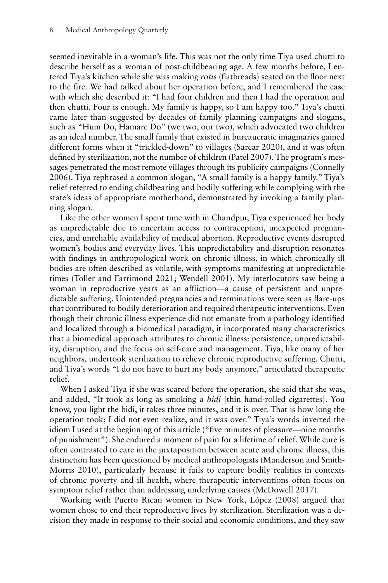seemed inevitable in a woman's life. This was not the only time Tiya used chutti to describe herself as a woman of post-childbearing age. A few months before, I entered Tiya's kitchen while she was making *rotis* (flatbreads) seated on the floor next to the fire. We had talked about her operation before, and I remembered the ease with which she described it: "I had four children and then I had the operation and then chutti. Four is enough. My family is happy, so I am happy too." Tiya's chutti came later than suggested by decades of family planning campaigns and slogans, such as "Hum Do, Hamare Do" (we two, our two), which advocated two children as an ideal number. The small family that existed in bureaucratic imaginaries gained different forms when it "trickled-down" to villages (Sarcar 2020), and it was often defined by sterilization, not the number of children (Patel 2007). The program's messages penetrated the most remote villages through its publicity campaigns (Connelly 2006). Tiya rephrased a common slogan, "A small family is a happy family." Tiya's relief referred to ending childbearing and bodily suffering while complying with the state's ideas of appropriate motherhood, demonstrated by invoking a family planning slogan.

Like the other women I spent time with in Chandpur, Tiya experienced her body as unpredictable due to uncertain access to contraception, unexpected pregnancies, and unreliable availability of medical abortion. Reproductive events disrupted women's bodies and everyday lives. This unpredictability and disruption resonates with findings in anthropological work on chronic illness, in which chronically ill bodies are often described as volatile, with symptoms manifesting at unpredictable times (Toller and Farrimond 2021; Wendell 2001). My interlocutors saw being a woman in reproductive years as an affliction—a cause of persistent and unpredictable suffering. Unintended pregnancies and terminations were seen as flare-ups that contributed to bodily deterioration and required therapeutic interventions. Even though their chronic illness experience did not emanate from a pathology identified and localized through a biomedical paradigm, it incorporated many characteristics that a biomedical approach attributes to chronic illness: persistence, unpredictability, disruption, and the focus on self-care and management. Tiya, like many of her neighbors, undertook sterilization to relieve chronic reproductive suffering. Chutti, and Tiya's words "I do not have to hurt my body anymore," articulated therapeutic relief.

When I asked Tiya if she was scared before the operation, she said that she was, and added, "It took as long as smoking a *bidi* [thin hand-rolled cigarettes]. You know, you light the bidi, it takes three minutes, and it is over. That is how long the operation took; I did not even realize, and it was over." Tiya's words inverted the idiom I used at the beginning of this article ("five minutes of pleasure—nine months of punishment"). She endured a moment of pain for a lifetime of relief. While cure is often contrasted to care in the juxtaposition between acute and chronic illness, this distinction has been questioned by medical anthropologists (Manderson and Smith-Morris 2010), particularly because it fails to capture bodily realities in contexts of chronic poverty and ill health, where therapeutic interventions often focus on symptom relief rather than addressing underlying causes (McDowell 2017).

Working with Puerto Rican women in New York, López (2008) argued that women chose to end their reproductive lives by sterilization. Sterilization was a decision they made in response to their social and economic conditions, and they saw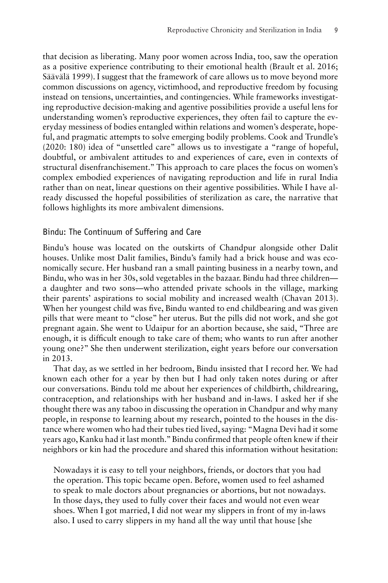that decision as liberating. Many poor women across India, too, saw the operation as a positive experience contributing to their emotional health (Brault et al. 2016; Säävälä 1999). I suggest that the framework of care allows us to move beyond more common discussions on agency, victimhood, and reproductive freedom by focusing instead on tensions, uncertainties, and contingencies. While frameworks investigating reproductive decision-making and agentive possibilities provide a useful lens for understanding women's reproductive experiences, they often fail to capture the everyday messiness of bodies entangled within relations and women's desperate, hopeful, and pragmatic attempts to solve emerging bodily problems. Cook and Trundle's (2020: 180) idea of "unsettled care" allows us to investigate a "range of hopeful, doubtful, or ambivalent attitudes to and experiences of care, even in contexts of structural disenfranchisement." This approach to care places the focus on women's complex embodied experiences of navigating reproduction and life in rural India rather than on neat, linear questions on their agentive possibilities. While I have already discussed the hopeful possibilities of sterilization as care, the narrative that follows highlights its more ambivalent dimensions.

#### Bindu: The Continuum of Suffering and Care

Bindu's house was located on the outskirts of Chandpur alongside other Dalit houses. Unlike most Dalit families, Bindu's family had a brick house and was economically secure. Her husband ran a small painting business in a nearby town, and Bindu, who was in her 30s, sold vegetables in the bazaar. Bindu had three children a daughter and two sons—who attended private schools in the village, marking their parents' aspirations to social mobility and increased wealth (Chavan 2013). When her youngest child was five, Bindu wanted to end childbearing and was given pills that were meant to "close" her uterus. But the pills did not work, and she got pregnant again. She went to Udaipur for an abortion because, she said, "Three are enough, it is difficult enough to take care of them; who wants to run after another young one?" She then underwent sterilization, eight years before our conversation in 2013.

That day, as we settled in her bedroom, Bindu insisted that I record her. We had known each other for a year by then but I had only taken notes during or after our conversations. Bindu told me about her experiences of childbirth, childrearing, contraception, and relationships with her husband and in-laws. I asked her if she thought there was any taboo in discussing the operation in Chandpur and why many people, in response to learning about my research, pointed to the houses in the distance where women who had their tubes tied lived, saying: "Magna Devi had it some years ago, Kanku had it last month." Bindu confirmed that people often knew if their neighbors or kin had the procedure and shared this information without hesitation:

Nowadays it is easy to tell your neighbors, friends, or doctors that you had the operation. This topic became open. Before, women used to feel ashamed to speak to male doctors about pregnancies or abortions, but not nowadays. In those days, they used to fully cover their faces and would not even wear shoes. When I got married, I did not wear my slippers in front of my in-laws also. I used to carry slippers in my hand all the way until that house [she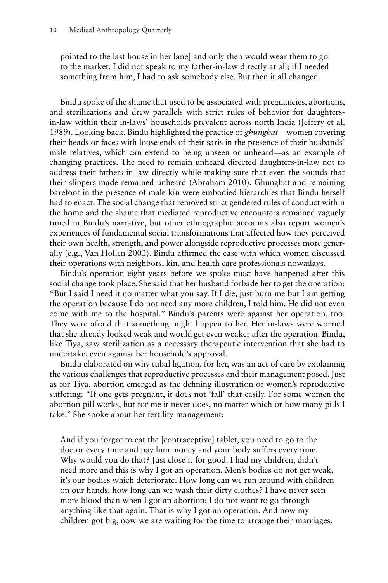pointed to the last house in her lane] and only then would wear them to go to the market. I did not speak to my father-in-law directly at all; if I needed something from him, I had to ask somebody else. But then it all changed.

Bindu spoke of the shame that used to be associated with pregnancies, abortions, and sterilizations and drew parallels with strict rules of behavior for daughtersin-law within their in-laws' households prevalent across north India (Jeffery et al. 1989). Looking back, Bindu highlighted the practice of *ghunghat*—women covering their heads or faces with loose ends of their saris in the presence of their husbands' male relatives, which can extend to being unseen or unheard—as an example of changing practices. The need to remain unheard directed daughters-in-law not to address their fathers-in-law directly while making sure that even the sounds that their slippers made remained unheard (Abraham 2010). Ghunghat and remaining barefoot in the presence of male kin were embodied hierarchies that Bindu herself had to enact. The social change that removed strict gendered rules of conduct within the home and the shame that mediated reproductive encounters remained vaguely timed in Bindu's narrative, but other ethnographic accounts also report women's experiences of fundamental social transformations that affected how they perceived their own health, strength, and power alongside reproductive processes more generally (e.g., Van Hollen 2003). Bindu affirmed the ease with which women discussed their operations with neighbors, kin, and health care professionals nowadays.

Bindu's operation eight years before we spoke must have happened after this social change took place. She said that her husband forbade her to get the operation: "But I said I need it no matter what you say. If I die, just burn me but I am getting the operation because I do not need any more children, I told him. He did not even come with me to the hospital." Bindu's parents were against her operation, too. They were afraid that something might happen to her. Her in-laws were worried that she already looked weak and would get even weaker after the operation. Bindu, like Tiya, saw sterilization as a necessary therapeutic intervention that she had to undertake, even against her household's approval.

Bindu elaborated on why tubal ligation, for her, was an act of care by explaining the various challenges that reproductive processes and their management posed. Just as for Tiya, abortion emerged as the defining illustration of women's reproductive suffering: "If one gets pregnant, it does not 'fall' that easily. For some women the abortion pill works, but for me it never does, no matter which or how many pills I take." She spoke about her fertility management:

And if you forgot to eat the [contraceptive] tablet, you need to go to the doctor every time and pay him money and your body suffers every time. Why would you do that? Just close it for good. I had my children, didn't need more and this is why I got an operation. Men's bodies do not get weak, it's our bodies which deteriorate. How long can we run around with children on our hands; how long can we wash their dirty clothes? I have never seen more blood than when I got an abortion; I do not want to go through anything like that again. That is why I got an operation. And now my children got big, now we are waiting for the time to arrange their marriages.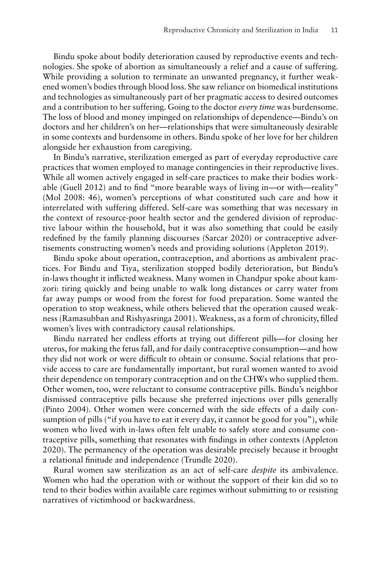Bindu spoke about bodily deterioration caused by reproductive events and technologies. She spoke of abortion as simultaneously a relief and a cause of suffering. While providing a solution to terminate an unwanted pregnancy, it further weakened women's bodies through blood loss. She saw reliance on biomedical institutions and technologies as simultaneously part of her pragmatic access to desired outcomes and a contribution to her suffering. Going to the doctor *every time* was burdensome. The loss of blood and money impinged on relationships of dependence—Bindu's on doctors and her children's on her—relationships that were simultaneously desirable in some contexts and burdensome in others. Bindu spoke of her love for her children alongside her exhaustion from caregiving.

In Bindu's narrative, sterilization emerged as part of everyday reproductive care practices that women employed to manage contingencies in their reproductive lives. While all women actively engaged in self-care practices to make their bodies workable (Guell 2012) and to find "more bearable ways of living in—or with—reality" (Mol 2008: 46), women's perceptions of what constituted such care and how it interrelated with suffering differed. Self-care was something that was necessary in the context of resource-poor health sector and the gendered division of reproductive labour within the household, but it was also something that could be easily redefined by the family planning discourses (Sarcar 2020) or contraceptive advertisements constructing women's needs and providing solutions (Appleton 2019).

Bindu spoke about operation, contraception, and abortions as ambivalent practices. For Bindu and Tiya, sterilization stopped bodily deterioration, but Bindu's in-laws thought it inflicted weakness. Many women in Chandpur spoke about kamzori: tiring quickly and being unable to walk long distances or carry water from far away pumps or wood from the forest for food preparation. Some wanted the operation to stop weakness, while others believed that the operation caused weakness (Ramasubban and Rishyasringa 2001). Weakness, as a form of chronicity, filled women's lives with contradictory causal relationships.

Bindu narrated her endless efforts at trying out different pills—for closing her uterus, for making the fetus fall, and for daily contraceptive consumption—and how they did not work or were difficult to obtain or consume. Social relations that provide access to care are fundamentally important, but rural women wanted to avoid their dependence on temporary contraception and on the CHWs who supplied them. Other women, too, were reluctant to consume contraceptive pills. Bindu's neighbor dismissed contraceptive pills because she preferred injections over pills generally (Pinto 2004). Other women were concerned with the side effects of a daily consumption of pills ("if you have to eat it every day, it cannot be good for you"), while women who lived with in-laws often felt unable to safely store and consume contraceptive pills, something that resonates with findings in other contexts (Appleton 2020). The permanency of the operation was desirable precisely because it brought a relational finitude and independence (Trundle 2020).

Rural women saw sterilization as an act of self-care *despite* its ambivalence. Women who had the operation with or without the support of their kin did so to tend to their bodies within available care regimes without submitting to or resisting narratives of victimhood or backwardness.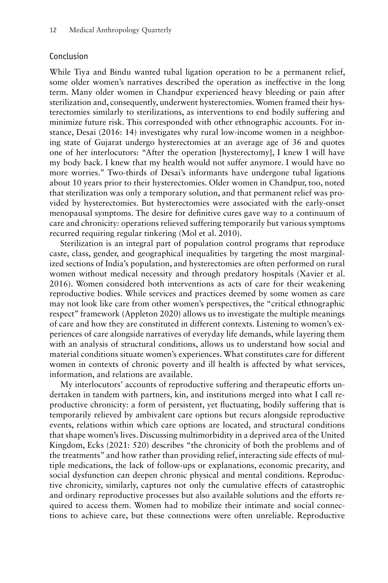#### Conclusion

While Tiya and Bindu wanted tubal ligation operation to be a permanent relief, some older women's narratives described the operation as ineffective in the long term. Many older women in Chandpur experienced heavy bleeding or pain after sterilization and, consequently, underwent hysterectomies. Women framed their hysterectomies similarly to sterilizations, as interventions to end bodily suffering and minimize future risk. This corresponded with other ethnographic accounts. For instance, Desai (2016: 14) investigates why rural low-income women in a neighboring state of Gujarat undergo hysterectomies at an average age of 36 and quotes one of her interlocutors: "After the operation [hysterectomy], I knew I will have my body back. I knew that my health would not suffer anymore. I would have no more worries." Two-thirds of Desai's informants have undergone tubal ligations about 10 years prior to their hysterectomies. Older women in Chandpur, too, noted that sterilization was only a temporary solution, and that permanent relief was provided by hysterectomies. But hysterectomies were associated with the early-onset menopausal symptoms. The desire for definitive cures gave way to a continuum of care and chronicity: operations relieved suffering temporarily but various symptoms recurred requiring regular tinkering (Mol et al. 2010).

Sterilization is an integral part of population control programs that reproduce caste, class, gender, and geographical inequalities by targeting the most marginalized sections of India's population, and hysterectomies are often performed on rural women without medical necessity and through predatory hospitals (Xavier et al. 2016). Women considered both interventions as acts of care for their weakening reproductive bodies. While services and practices deemed by some women as care may not look like care from other women's perspectives, the "critical ethnographic respect" framework (Appleton 2020) allows us to investigate the multiple meanings of care and how they are constituted in different contexts. Listening to women's experiences of care alongside narratives of everyday life demands, while layering them with an analysis of structural conditions, allows us to understand how social and material conditions situate women's experiences. What constitutes care for different women in contexts of chronic poverty and ill health is affected by what services, information, and relations are available.

My interlocutors' accounts of reproductive suffering and therapeutic efforts undertaken in tandem with partners, kin, and institutions merged into what I call reproductive chronicity: a form of persistent, yet fluctuating, bodily suffering that is temporarily relieved by ambivalent care options but recurs alongside reproductive events, relations within which care options are located, and structural conditions that shape women's lives. Discussing multimorbidity in a deprived area of the United Kingdom, Ecks (2021: 520) describes "the chronicity of both the problems and of the treatments" and how rather than providing relief, interacting side effects of multiple medications, the lack of follow-ups or explanations, economic precarity, and social dysfunction can deepen chronic physical and mental conditions. Reproductive chronicity, similarly, captures not only the cumulative effects of catastrophic and ordinary reproductive processes but also available solutions and the efforts required to access them. Women had to mobilize their intimate and social connections to achieve care, but these connections were often unreliable. Reproductive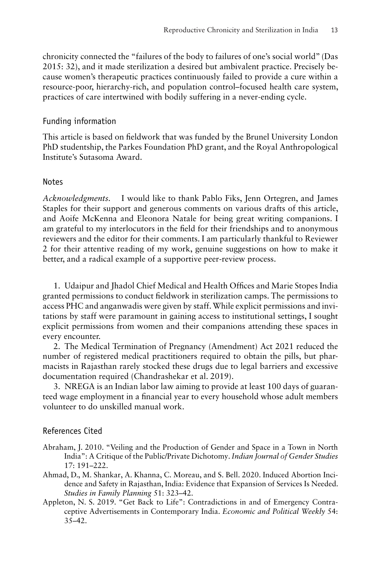chronicity connected the "failures of the body to failures of one's social world" (Das 2015: 32), and it made sterilization a desired but ambivalent practice. Precisely because women's therapeutic practices continuously failed to provide a cure within a resource-poor, hierarchy-rich, and population control–focused health care system, practices of care intertwined with bodily suffering in a never-ending cycle.

#### Funding information

This article is based on fieldwork that was funded by the Brunel University London PhD studentship, the Parkes Foundation PhD grant, and the Royal Anthropological Institute's Sutasoma Award.

#### Notes

*Acknowledgments.* I would like to thank Pablo Fiks, Jenn Ortegren, and James Staples for their support and generous comments on various drafts of this article, and Aoife McKenna and Eleonora Natale for being great writing companions. I am grateful to my interlocutors in the field for their friendships and to anonymous reviewers and the editor for their comments. I am particularly thankful to Reviewer 2 for their attentive reading of my work, genuine suggestions on how to make it better, and a radical example of a supportive peer-review process.

1. Udaipur and Jhadol Chief Medical and Health Offices and Marie Stopes India granted permissions to conduct fieldwork in sterilization camps. The permissions to access PHC and anganwadis were given by staff.While explicit permissions and invitations by staff were paramount in gaining access to institutional settings, I sought explicit permissions from women and their companions attending these spaces in every encounter.

2. The Medical Termination of Pregnancy (Amendment) Act 2021 reduced the number of registered medical practitioners required to obtain the pills, but pharmacists in Rajasthan rarely stocked these drugs due to legal barriers and excessive documentation required (Chandrashekar et al. 2019).

3. NREGA is an Indian labor law aiming to provide at least 100 days of guaranteed wage employment in a financial year to every household whose adult members volunteer to do unskilled manual work.

#### References Cited

- Abraham, J. 2010. "Veiling and the Production of Gender and Space in a Town in North India": A Critique of the Public/Private Dichotomy.*Indian Journal of Gender Studies* 17: 191–222.
- Ahmad, D., M. Shankar, A. Khanna, C. Moreau, and S. Bell. 2020. Induced Abortion Incidence and Safety in Rajasthan, India: Evidence that Expansion of Services Is Needed. *Studies in Family Planning* 51: 323–42.
- Appleton, N. S. 2019. "Get Back to Life": Contradictions in and of Emergency Contraceptive Advertisements in Contemporary India. *Economic and Political Weekly* 54:  $35-42.$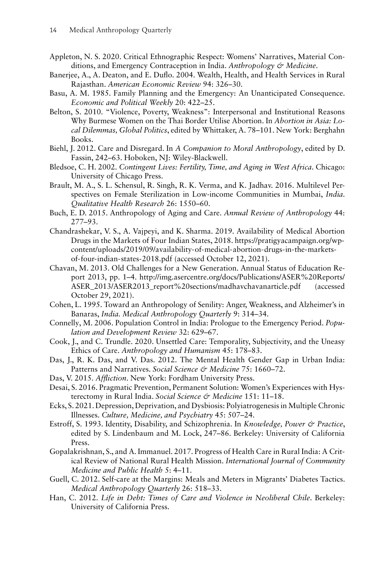- Appleton, N. S. 2020. Critical Ethnographic Respect: Womens' Narratives, Material Conditions, and Emergency Contraception in India. *Anthropology & Medicine*.
- Banerjee, A., A. Deaton, and E. Duflo. 2004. Wealth, Health, and Health Services in Rural Rajasthan. *American Economic Review* 94: 326–30.
- Basu, A. M. 1985. Family Planning and the Emergency: An Unanticipated Consequence. *Economic and Political Weekly* 20: 422–25.
- Belton, S. 2010. "Violence, Poverty, Weakness": Interpersonal and Institutional Reasons Why Burmese Women on the Thai Border Utilise Abortion. In *Abortion in Asia: Local Dilemmas, Global Politics*, edited by Whittaker, A. 78–101. New York: Berghahn Books.
- Biehl, J. 2012. Care and Disregard. In *A Companion to Moral Anthropology*, edited by D. Fassin, 242–63. Hoboken, NJ: Wiley-Blackwell.
- Bledsoe, C. H. 2002. *Contingent Lives: Fertility, Time, and Aging in West Africa*. Chicago: University of Chicago Press.
- Brault, M. A., S. L. Schensul, R. Singh, R. K. Verma, and K. Jadhav. 2016. Multilevel Perspectives on Female Sterilization in Low-income Communities in Mumbai, *India. Qualitative Health Research* 26: 1550–60.
- Buch, E. D. 2015. Anthropology of Aging and Care. *Annual Review of Anthropology* 44: 277–93.
- Chandrashekar, V. S., A. Vajpeyi, and K. Sharma. 2019. Availability of Medical Abortion Drugs in the Markets of Four Indian States, 2018. [https://pratigyacampaign.org/wp](https://pratigyacampaign.org/wp-content/uploads/2019/09/availability-of-medical-abortion-drugs-in-the-markets-of-four-indian-states-2018.pdf)[content/uploads/2019/09/availability-of-medical-abortion-drugs-in-the-markets](https://pratigyacampaign.org/wp-content/uploads/2019/09/availability-of-medical-abortion-drugs-in-the-markets-of-four-indian-states-2018.pdf)[of-four-indian-states-2018.pdf](https://pratigyacampaign.org/wp-content/uploads/2019/09/availability-of-medical-abortion-drugs-in-the-markets-of-four-indian-states-2018.pdf) (accessed October 12, 2021).
- Chavan, M. 2013. Old Challenges for a New Generation. Annual Status of Education Report 2013, pp. 1–4. [http://img.asercentre.org/docs/Publications/ASER%20Reports/](http://img.asercentre.org/docs/Publications/ASER%20Reports/ASER_2013/ASER2013_report%20sections/madhavchavanarticle.pdf) [ASER\\_2013/ASER2013\\_report%20sections/madhavchavanarticle.pdf](http://img.asercentre.org/docs/Publications/ASER%20Reports/ASER_2013/ASER2013_report%20sections/madhavchavanarticle.pdf) (accessed October 29, 2021).
- Cohen, L. 1995. Toward an Anthropology of Senility: Anger, Weakness, and Alzheimer's in Banaras, *India. Medical Anthropology Quarterly* 9: 314–34.
- Connelly, M. 2006. Population Control in India: Prologue to the Emergency Period. *Population and Development Review* 32: 629–67.
- Cook, J., and C. Trundle. 2020. Unsettled Care: Temporality, Subjectivity, and the Uneasy Ethics of Care. *Anthropology and Humanism* 45: 178–83.
- Das, J., R. K. Das, and V. Das. 2012. The Mental Health Gender Gap in Urban India: Patterns and Narratives. *Social Science & Medicine* 75: 1660–72.
- Das, V. 2015. *Affliction*. New York: Fordham University Press.
- Desai, S. 2016. Pragmatic Prevention, Permanent Solution: Women's Experiences with Hysterectomy in Rural India. *Social Science & Medicine* 151: 11–18.
- Ecks, S. 2021. Depression, Deprivation, and Dysbiosis: Polyiatrogenesis in Multiple Chronic Illnesses. *Culture, Medicine, and Psychiatry* 45: 507–24.
- Estroff, S. 1993. Identity, Disability, and Schizophrenia. In *Knowledge, Power & Practice*, edited by S. Lindenbaum and M. Lock, 247–86. Berkeley: University of California Press.
- Gopalakrishnan, S., and A. Immanuel. 2017. Progress of Health Care in Rural India: A Critical Review of National Rural Health Mission. *International Journal of Community Medicine and Public Health* 5: 4–11.
- Guell, C. 2012. Self-care at the Margins: Meals and Meters in Migrants' Diabetes Tactics. *Medical Anthropology Quarterly* 26: 518–33.
- Han, C. 2012. *Life in Debt: Times of Care and Violence in Neoliberal Chile*. Berkeley: University of California Press.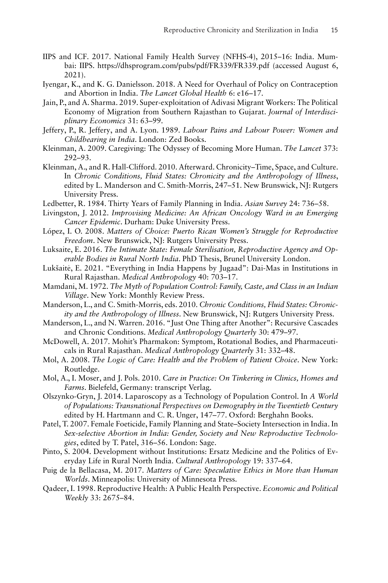- IIPS and ICF. 2017. National Family Health Survey (NFHS-4), 2015–16: India. Mumbai: IIPS.<https://dhsprogram.com/pubs/pdf/FR339/FR339.pdf> (accessed August 6, 2021).
- Iyengar, K., and K. G. Danielsson. 2018. A Need for Overhaul of Policy on Contraception and Abortion in India. *The Lancet Global Health* 6: e16–17.
- Jain, P., and A. Sharma. 2019. Super-exploitation of Adivasi Migrant Workers: The Political Economy of Migration from Southern Rajasthan to Gujarat. *Journal of Interdisciplinary Economics* 31: 63–99.
- Jeffery, P., R. Jeffery, and A. Lyon. 1989. *Labour Pains and Labour Power: Women and Childbearing in India*. London: Zed Books.
- Kleinman, A. 2009. Caregiving: The Odyssey of Becoming More Human. *The Lancet* 373: 292–93.
- Kleinman, A., and R. Hall-Clifford. 2010. Afterward. Chronicity–Time, Space, and Culture. In *Chronic Conditions, Fluid States: Chronicity and the Anthropology of Illness*, edited by L. Manderson and C. Smith-Morris, 247–51. New Brunswick, NJ: Rutgers University Press.
- Ledbetter, R. 1984. Thirty Years of Family Planning in India. *Asian Survey* 24: 736–58.
- Livingston, J. 2012. *Improvising Medicine: An African Oncology Ward in an Emerging Cancer Epidemic*. Durham: Duke University Press.
- López, I. O. 2008. *Matters of Choice: Puerto Rican Women's Struggle for Reproductive Freedom*. New Brunswick, NJ: Rutgers University Press.
- Luksaite, E. 2016. *The Intimate State: Female Sterilisation, Reproductive Agency and Operable Bodies in Rural North India*. PhD Thesis, Brunel University London.
- Lukšaite, E. 2021. "Everything in India Happens by Jugaad": Dai-Mas in Institutions in ˙ Rural Rajasthan. *Medical Anthropology* 40: 703–17.
- Mamdani, M. 1972. *The Myth of Population Control: Family, Caste, and Class in an Indian Village*. New York: Monthly Review Press.
- Manderson, L., and C. Smith-Morris, eds. 2010. *Chronic Conditions, Fluid States: Chronicity and the Anthropology of Illness*. New Brunswick, NJ: Rutgers University Press.
- Manderson, L., and N. Warren. 2016. "Just One Thing after Another": Recursive Cascades and Chronic Conditions. *Medical Anthropology Quarterly* 30: 479–97.
- McDowell, A. 2017. Mohit's Pharmakon: Symptom, Rotational Bodies, and Pharmaceuticals in Rural Rajasthan. *Medical Anthropology Quarterly* 31: 332–48.
- Mol, A. 2008. *The Logic of Care: Health and the Problem of Patient Choice*. New York: Routledge.
- Mol, A., I. Moser, and J. Pols. 2010. *Care in Practice: On Tinkering in Clinics, Homes and Farms*. Bielefeld, Germany: transcript Verlag.
- Olszynko-Gryn, J. 2014. Laparoscopy as a Technology of Population Control. In *A World of Populations: Transnational Perspectives on Demography in the Twentieth Century* edited by H. Hartmann and C. R. Unger, 147–77. Oxford: Berghahn Books.
- Patel, T. 2007. Female Foeticide, Family Planning and State–Society Intersection in India. In *Sex-selective Abortion in India: Gender, Society and New Reproductive Technologies*, edited by T. Patel, 316–56. London: Sage.
- Pinto, S. 2004. Development without Institutions: Ersatz Medicine and the Politics of Everyday Life in Rural North India. *Cultural Anthropology* 19: 337–64.
- Puig de la Bellacasa, M. 2017. *Matters of Care: Speculative Ethics in More than Human Worlds*. Minneapolis: University of Minnesota Press.
- Qadeer, I. 1998. Reproductive Health: A Public Health Perspective. *Economic and Political Weekly* 33: 2675–84.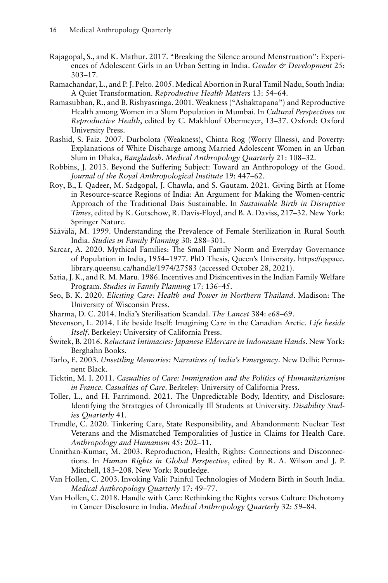- Rajagopal, S., and K. Mathur. 2017. "Breaking the Silence around Menstruation": Experiences of Adolescent Girls in an Urban Setting in India. *Gender & Development* 25: 303–17.
- Ramachandar, L., and P. J. Pelto. 2005.Medical Abortion in Rural Tamil Nadu, South India: A Quiet Transformation. *Reproductive Health Matters* 13: 54–64.
- Ramasubban, R., and B. Rishyasringa. 2001. Weakness ("Ashaktapana") and Reproductive Health among Women in a Slum Population in Mumbai. In *Cultural Perspectives on Reproductive Health*, edited by C. Makhlouf Obermeyer, 13–37. Oxford: Oxford University Press.
- Rashid, S. Faiz. 2007. Durbolota (Weakness), Chinta Rog (Worry Illness), and Poverty: Explanations of White Discharge among Married Adolescent Women in an Urban Slum in Dhaka, *Bangladesh. Medical Anthropology Quarterly* 21: 108–32.
- Robbins, J. 2013. Beyond the Suffering Subject: Toward an Anthropology of the Good. *Journal of the Royal Anthropological Institute* 19: 447–62.
- Roy, B., I. Qadeer, M. Sadgopal, J. Chawla, and S. Gautam. 2021. Giving Birth at Home in Resource-scarce Regions of India: An Argument for Making the Women-centric Approach of the Traditional Dais Sustainable. In *Sustainable Birth in Disruptive Times*, edited by K. Gutschow, R. Davis-Floyd, and B. A. Daviss, 217–32. New York: Springer Nature.
- Säävälä, M. 1999. Understanding the Prevalence of Female Sterilization in Rural South India. *Studies in Family Planning* 30: 288–301.
- Sarcar, A. 2020. Mythical Families: The Small Family Norm and Everyday Governance of Population in India, 1954–1977. PhD Thesis, Queen's University. [https://qspace.](https://qspace.library.queensu.ca/handle/1974/27583) [library.queensu.ca/handle/1974/27583](https://qspace.library.queensu.ca/handle/1974/27583) (accessed October 28, 2021).
- Satia, J. K., and R.M.Maru. 1986. Incentives and Disincentives in the Indian Family Welfare Program. *Studies in Family Planning* 17: 136–45.
- Seo, B. K. 2020. *Eliciting Care: Health and Power in Northern Thailand*. Madison: The University of Wisconsin Press.
- Sharma, D. C. 2014. India's Sterilisation Scandal. *The Lancet* 384: e68–69.
- Stevenson, L. 2014. Life beside Itself: Imagining Care in the Canadian Arctic. *Life beside*
- *Itself*. Berkeley: University of California Press. ´ Switek, B. 2016. *Reluctant Intimacies: Japanese Eldercare in Indonesian Hands*. New York: Berghahn Books.
- Tarlo, E. 2003. *Unsettling Memories: Narratives of India's Emergency*. New Delhi: Permanent Black.
- Ticktin, M. I. 2011. *Casualties of Care: Immigration and the Politics of Humanitarianism in France. Casualties of Care*. Berkeley: University of California Press.
- Toller, L., and H. Farrimond. 2021. The Unpredictable Body, Identity, and Disclosure: Identifying the Strategies of Chronically Ill Students at University. *Disability Studies Quarterly* 41.
- Trundle, C. 2020. Tinkering Care, State Responsibility, and Abandonment: Nuclear Test Veterans and the Mismatched Temporalities of Justice in Claims for Health Care. *Anthropology and Humanism* 45: 202–11.
- Unnithan-Kumar, M. 2003. Reproduction, Health, Rights: Connections and Disconnections. In *Human Rights in Global Perspective*, edited by R. A. Wilson and J. P. Mitchell, 183–208. New York: Routledge.
- Van Hollen, C. 2003. Invoking Vali: Painful Technologies of Modern Birth in South India. *Medical Anthropology Quarterly* 17: 49–77.
- Van Hollen, C. 2018. Handle with Care: Rethinking the Rights versus Culture Dichotomy in Cancer Disclosure in India. *Medical Anthropology Quarterly* 32: 59–84.